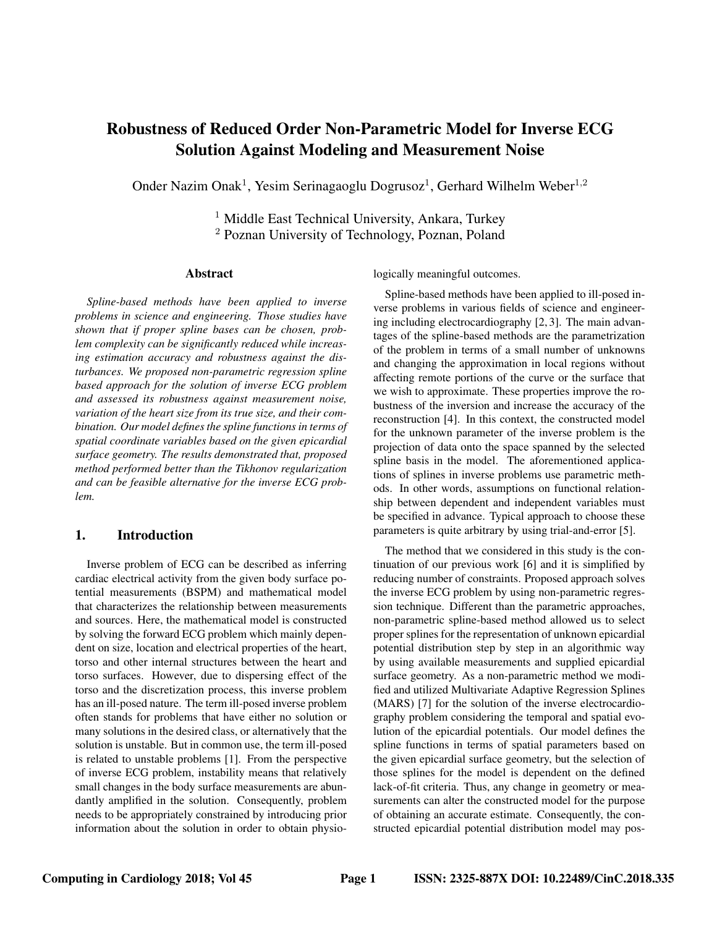# Robustness of Reduced Order Non-Parametric Model for Inverse ECG Solution Against Modeling and Measurement Noise

Onder Nazim Onak<sup>1</sup>, Yesim Serinagaoglu Dogrusoz<sup>1</sup>, Gerhard Wilhelm Weber<sup>1,2</sup>

<sup>1</sup> Middle East Technical University, Ankara, Turkey <sup>2</sup> Poznan University of Technology, Poznan, Poland

#### Abstract

*Spline-based methods have been applied to inverse problems in science and engineering. Those studies have shown that if proper spline bases can be chosen, problem complexity can be significantly reduced while increasing estimation accuracy and robustness against the disturbances. We proposed non-parametric regression spline based approach for the solution of inverse ECG problem and assessed its robustness against measurement noise, variation of the heart size from its true size, and their combination. Our model defines the spline functions in terms of spatial coordinate variables based on the given epicardial surface geometry. The results demonstrated that, proposed method performed better than the Tikhonov regularization and can be feasible alternative for the inverse ECG problem.*

## 1. Introduction

Inverse problem of ECG can be described as inferring cardiac electrical activity from the given body surface potential measurements (BSPM) and mathematical model that characterizes the relationship between measurements and sources. Here, the mathematical model is constructed by solving the forward ECG problem which mainly dependent on size, location and electrical properties of the heart, torso and other internal structures between the heart and torso surfaces. However, due to dispersing effect of the torso and the discretization process, this inverse problem has an ill-posed nature. The term ill-posed inverse problem often stands for problems that have either no solution or many solutions in the desired class, or alternatively that the solution is unstable. But in common use, the term ill-posed is related to unstable problems [1]. From the perspective of inverse ECG problem, instability means that relatively small changes in the body surface measurements are abundantly amplified in the solution. Consequently, problem needs to be appropriately constrained by introducing prior information about the solution in order to obtain physiologically meaningful outcomes.

Spline-based methods have been applied to ill-posed inverse problems in various fields of science and engineering including electrocardiography [2, 3]. The main advantages of the spline-based methods are the parametrization of the problem in terms of a small number of unknowns and changing the approximation in local regions without affecting remote portions of the curve or the surface that we wish to approximate. These properties improve the robustness of the inversion and increase the accuracy of the reconstruction [4]. In this context, the constructed model for the unknown parameter of the inverse problem is the projection of data onto the space spanned by the selected spline basis in the model. The aforementioned applications of splines in inverse problems use parametric methods. In other words, assumptions on functional relationship between dependent and independent variables must be specified in advance. Typical approach to choose these parameters is quite arbitrary by using trial-and-error [5].

The method that we considered in this study is the continuation of our previous work [6] and it is simplified by reducing number of constraints. Proposed approach solves the inverse ECG problem by using non-parametric regression technique. Different than the parametric approaches, non-parametric spline-based method allowed us to select proper splines for the representation of unknown epicardial potential distribution step by step in an algorithmic way by using available measurements and supplied epicardial surface geometry. As a non-parametric method we modified and utilized Multivariate Adaptive Regression Splines (MARS) [7] for the solution of the inverse electrocardiography problem considering the temporal and spatial evolution of the epicardial potentials. Our model defines the spline functions in terms of spatial parameters based on the given epicardial surface geometry, but the selection of those splines for the model is dependent on the defined lack-of-fit criteria. Thus, any change in geometry or measurements can alter the constructed model for the purpose of obtaining an accurate estimate. Consequently, the constructed epicardial potential distribution model may pos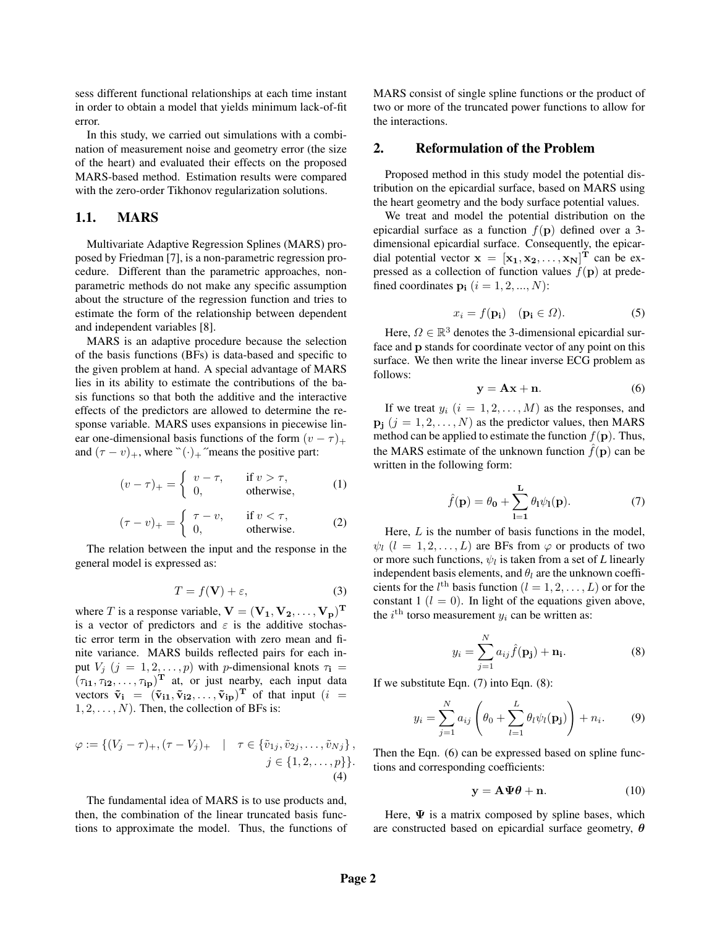sess different functional relationships at each time instant in order to obtain a model that yields minimum lack-of-fit error.

In this study, we carried out simulations with a combination of measurement noise and geometry error (the size of the heart) and evaluated their effects on the proposed MARS-based method. Estimation results were compared with the zero-order Tikhonov regularization solutions.

#### 1.1. MARS

Multivariate Adaptive Regression Splines (MARS) proposed by Friedman [7], is a non-parametric regression procedure. Different than the parametric approaches, nonparametric methods do not make any specific assumption about the structure of the regression function and tries to estimate the form of the relationship between dependent and independent variables [8].

MARS is an adaptive procedure because the selection of the basis functions (BFs) is data-based and specific to the given problem at hand. A special advantage of MARS lies in its ability to estimate the contributions of the basis functions so that both the additive and the interactive effects of the predictors are allowed to determine the response variable. MARS uses expansions in piecewise linear one-dimensional basis functions of the form  $(v - \tau)_{+}$ and  $(\tau - v)_+$ , where  $\Gamma(\cdot)_+$  "means the positive part:

$$
(v - \tau)_+ = \begin{cases} v - \tau, & \text{if } v > \tau, \\ 0, & \text{otherwise,} \end{cases}
$$
 (1)

$$
(\tau - v)_+ = \begin{cases} \tau - v, & \text{if } v < \tau, \\ 0, & \text{otherwise.} \end{cases} \tag{2}
$$

The relation between the input and the response in the general model is expressed as:

$$
T = f(\mathbf{V}) + \varepsilon,\tag{3}
$$

where T is a response variable,  $V = (V_1, V_2, \dots, V_p)^T$ is a vector of predictors and  $\varepsilon$  is the additive stochastic error term in the observation with zero mean and finite variance. MARS builds reflected pairs for each input  $V_j$   $(j = 1, 2, \ldots, p)$  with *p*-dimensional knots  $\tau_i$  =  $(\tau_{i1}, \tau_{i2}, \dots, \tau_{ip})^{\mathrm{T}}$  at, or just nearby, each input data vectors  $\tilde{v}_i = (\tilde{v}_{i1}, \tilde{v}_{i2}, \dots, \tilde{v}_{ip})^T$  of that input  $(i =$  $1, 2, \ldots, N$ ). Then, the collection of BFs is:

$$
\varphi := \{ (V_j - \tau)_+, (\tau - V_j)_+ \mid \tau \in \{ \tilde{v}_{1j}, \tilde{v}_{2j}, \dots, \tilde{v}_{Nj} \}, \n j \in \{1, 2, \dots, p \} \}.
$$
\n(4)

The fundamental idea of MARS is to use products and, then, the combination of the linear truncated basis functions to approximate the model. Thus, the functions of MARS consist of single spline functions or the product of two or more of the truncated power functions to allow for the interactions.

### 2. Reformulation of the Problem

Proposed method in this study model the potential distribution on the epicardial surface, based on MARS using the heart geometry and the body surface potential values.

We treat and model the potential distribution on the epicardial surface as a function  $f(\mathbf{p})$  defined over a 3dimensional epicardial surface. Consequently, the epicardial potential vector  $\mathbf{x} = [\mathbf{x_1}, \mathbf{x_2}, \dots, \mathbf{x_N}]^{\text{T}}$  can be expressed as a collection of function values  $f(\mathbf{p})$  at predefined coordinates  $\mathbf{p_i}$   $(i = 1, 2, ..., N)$ :

$$
x_i = f(\mathbf{p_i}) \quad (\mathbf{p_i} \in \Omega). \tag{5}
$$

Here,  $\Omega \in \mathbb{R}^3$  denotes the 3-dimensional epicardial surface and p stands for coordinate vector of any point on this surface. We then write the linear inverse ECG problem as follows:

$$
y = Ax + n. \tag{6}
$$

If we treat  $y_i$   $(i = 1, 2, \ldots, M)$  as the responses, and  $\mathbf{p_i}$   $(j = 1, 2, \dots, N)$  as the predictor values, then MARS method can be applied to estimate the function  $f(\mathbf{p})$ . Thus, the MARS estimate of the unknown function  $\hat{f}(\mathbf{p})$  can be written in the following form:

$$
\hat{f}(\mathbf{p}) = \theta_0 + \sum_{l=1}^{L} \theta_l \psi_l(\mathbf{p}).
$$
\n(7)

Here,  $L$  is the number of basis functions in the model,  $\psi_l$   $(l = 1, 2, \dots, L)$  are BFs from  $\varphi$  or products of two or more such functions,  $\psi_l$  is taken from a set of *L* linearly independent basis elements, and  $\theta_l$  are the unknown coefficients for the  $l^{\text{th}}$  basis function  $(l = 1, 2, \dots, L)$  or for the constant 1 ( $l = 0$ ). In light of the equations given above, the  $i^{\text{th}}$  torso measurement  $y_i$  can be written as:

$$
y_i = \sum_{j=1}^{N} a_{ij} \hat{f}(\mathbf{p}_j) + \mathbf{n}_i.
$$
 (8)

If we substitute Eqn. (7) into Eqn. (8):

$$
y_i = \sum_{j=1}^{N} a_{ij} \left( \theta_0 + \sum_{l=1}^{L} \theta_l \psi_l(\mathbf{p_j}) \right) + n_i.
$$
 (9)

Then the Eqn. (6) can be expressed based on spline functions and corresponding coefficients:

$$
y = A \Psi \theta + n. \tag{10}
$$

Here,  $\Psi$  is a matrix composed by spline bases, which are constructed based on epicardial surface geometry,  $\theta$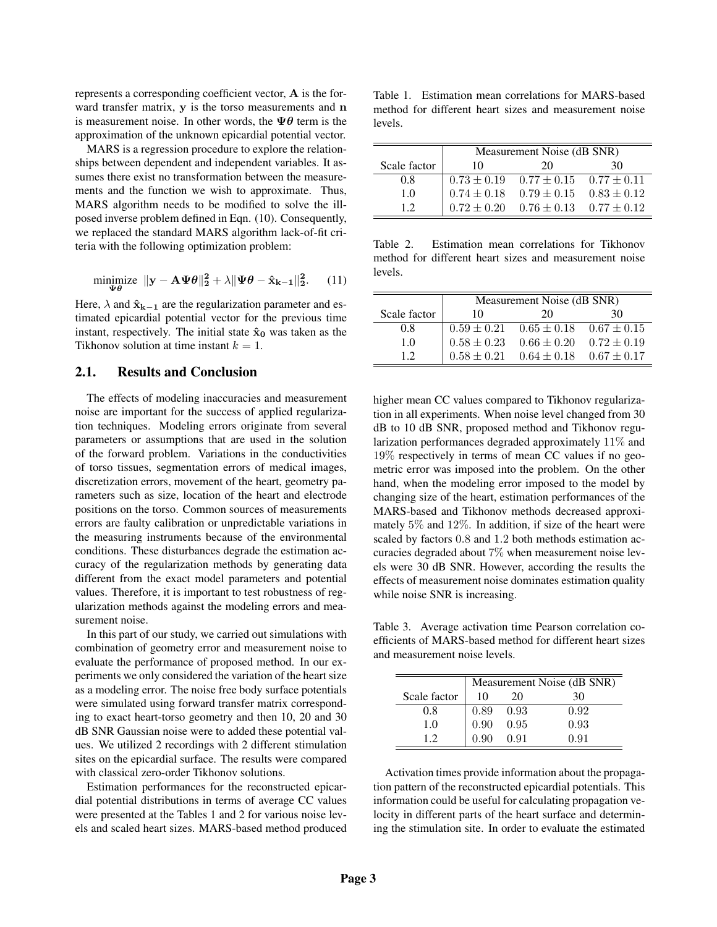represents a corresponding coefficient vector, A is the forward transfer matrix, y is the torso measurements and n is measurement noise. In other words, the  $\Psi\theta$  term is the approximation of the unknown epicardial potential vector.

MARS is a regression procedure to explore the relationships between dependent and independent variables. It assumes there exist no transformation between the measurements and the function we wish to approximate. Thus, MARS algorithm needs to be modified to solve the illposed inverse problem defined in Eqn. (10). Consequently, we replaced the standard MARS algorithm lack-of-fit criteria with the following optimization problem:

$$
\underset{\Psi\theta}{\text{minimize}} \ \| \mathbf{y} - \mathbf{A}\Psi\theta \|_2^2 + \lambda \|\Psi\theta - \hat{\mathbf{x}}_{k-1} \|_2^2. \tag{11}
$$

Here,  $\lambda$  and  $\hat{\mathbf{x}}_{k-1}$  are the regularization parameter and estimated epicardial potential vector for the previous time instant, respectively. The initial state  $\hat{x}_0$  was taken as the Tikhonov solution at time instant  $k = 1$ .

#### 2.1. Results and Conclusion

The effects of modeling inaccuracies and measurement noise are important for the success of applied regularization techniques. Modeling errors originate from several parameters or assumptions that are used in the solution of the forward problem. Variations in the conductivities of torso tissues, segmentation errors of medical images, discretization errors, movement of the heart, geometry parameters such as size, location of the heart and electrode positions on the torso. Common sources of measurements errors are faulty calibration or unpredictable variations in the measuring instruments because of the environmental conditions. These disturbances degrade the estimation accuracy of the regularization methods by generating data different from the exact model parameters and potential values. Therefore, it is important to test robustness of regularization methods against the modeling errors and measurement noise.

In this part of our study, we carried out simulations with combination of geometry error and measurement noise to evaluate the performance of proposed method. In our experiments we only considered the variation of the heart size as a modeling error. The noise free body surface potentials were simulated using forward transfer matrix corresponding to exact heart-torso geometry and then 10, 20 and 30 dB SNR Gaussian noise were to added these potential values. We utilized 2 recordings with 2 different stimulation sites on the epicardial surface. The results were compared with classical zero-order Tikhonov solutions.

Estimation performances for the reconstructed epicardial potential distributions in terms of average CC values were presented at the Tables 1 and 2 for various noise levels and scaled heart sizes. MARS-based method produced

Table 1. Estimation mean correlations for MARS-based method for different heart sizes and measurement noise levels.

|              | Measurement Noise (dB SNR)                      |                                                 |    |
|--------------|-------------------------------------------------|-------------------------------------------------|----|
| Scale factor | 10                                              | 20                                              | 30 |
| 0.8          |                                                 | $0.73 \pm 0.19$ $0.77 \pm 0.15$ $0.77 \pm 0.11$ |    |
| 1.0          | $0.74 \pm 0.18$ $0.79 \pm 0.15$ $0.83 \pm 0.12$ |                                                 |    |
| 12           |                                                 | $0.72 \pm 0.20$ $0.76 \pm 0.13$ $0.77 \pm 0.12$ |    |

Table 2. Estimation mean correlations for Tikhonov method for different heart sizes and measurement noise levels.

|              | Measurement Noise (dB SNR) |                                                 |    |
|--------------|----------------------------|-------------------------------------------------|----|
| Scale factor | 10                         | 20                                              | 30 |
| 0.8          |                            | $0.59 \pm 0.21$ $0.65 \pm 0.18$ $0.67 \pm 0.15$ |    |
| 1.0          | $0.58 \pm 0.23$            | $0.66 \pm 0.20$ $0.72 \pm 0.19$                 |    |
| 12           |                            | $0.58 \pm 0.21$ $0.64 \pm 0.18$ $0.67 \pm 0.17$ |    |

higher mean CC values compared to Tikhonov regularization in all experiments. When noise level changed from 30 dB to 10 dB SNR, proposed method and Tikhonov regularization performances degraded approximately 11% and 19% respectively in terms of mean CC values if no geometric error was imposed into the problem. On the other hand, when the modeling error imposed to the model by changing size of the heart, estimation performances of the MARS-based and Tikhonov methods decreased approximately 5% and 12%. In addition, if size of the heart were scaled by factors 0.8 and 1.2 both methods estimation accuracies degraded about 7% when measurement noise levels were 30 dB SNR. However, according the results the effects of measurement noise dominates estimation quality while noise SNR is increasing.

Table 3. Average activation time Pearson correlation coefficients of MARS-based method for different heart sizes and measurement noise levels.

|              | Measurement Noise (dB SNR) |      |      |
|--------------|----------------------------|------|------|
| Scale factor | 10                         | 20   | 30   |
| 0.8          | 0.89                       | 0.93 | 0.92 |
| 1.0          | 0.90                       | 0.95 | 0.93 |
| 12           | (0.90)                     | 0.91 | 0.91 |

Activation times provide information about the propagation pattern of the reconstructed epicardial potentials. This information could be useful for calculating propagation velocity in different parts of the heart surface and determining the stimulation site. In order to evaluate the estimated